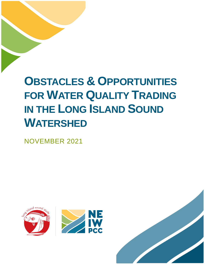# **OBSTACLES & OPPORTUNITIES FOR WATER QUALITY TRADING IN THE LONG ISLAND SOUND WATERSHED**

NOVEMBER 2021



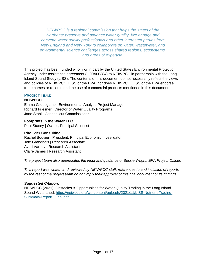*NEIWPCC is a regional commission that helps the states of the Northeast preserve and advance water quality. We engage and convene water quality professionals and other interested parties from New England and New York to collaborate on water, wastewater, and environmental science challenges across shared regions, ecosystems, and areas of expertise.*

This project has been funded wholly or in part by the United States Environmental Protection Agency under assistance agreement (LI00A00384) to NEIWPCC in partnership with the Long Island Sound Study (LISS). The contents of this document do not necessarily reflect the views and policies of NEIWPCC, LISS or the EPA, nor does NEIWPCC, LISS or the EPA endorse trade names or recommend the use of commercial products mentioned in this document.

## PROJECT TEAM:

## **NEIWPCC**

Emma Gildesgame | Environmental Analyst, Project Manager Richard Friesner | Director of Water Quality Programs Jane Stahl | Connecticut Commissioner

## **Footprints in the Water LLC**

Paul Stacey | Owner, Principal Scientist

#### **Rbouvier Consulting**

Rachel Bouvier | President, Principal Economic Investigator Joie Grandbois | Research Associate Averi Varney | Research Assistant Claire James | Research Assistant

*The project team also appreciates the input and guidance of Bessie Wright, EPA Project Officer.*

*This report was written and reviewed by NEIWPCC staff; references to and inclusion of reports by the rest of the project team do not imply their approval of this final document or its findings.* 

#### *Suggested Citation:*

NEIWPCC (2021). Obstacles & Opportunities for Water Quality Trading in the Long Island Sound Watershed. [https://neiwpcc.org/wp-content/uploads/2021/11/LISS-Nutrient-Trading-](https://neiwpcc.org/wp-content/uploads/2021/11/LISS-Nutrient-Trading-Summary-Report_Final.pdf)[Summary-Report\\_Final.pdf](https://neiwpcc.org/wp-content/uploads/2021/11/LISS-Nutrient-Trading-Summary-Report_Final.pdf)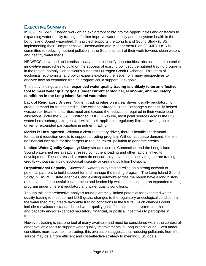## **EXECUTIVE SUMMARY**

In 2020, NEIWPCC began work on an exploratory study into the opportunities and obstacles to expanding water quality trading to further improve water quality and ecosystem health in the Long Island Sound watershed.This project supports the Long Island Sound Study (LISS) in implementing their Comprehensive Conservation and Management Plan (CCMP). LISS is committed to reducing nutrient pollution in the Sound as part of their work towards clean waters and healthy watersheds.

NEIWPCC convened an interdisciplinary team to identify opportunities, obstacles, and potential innovative approaches to build on the success of existing point source nutrient trading programs in the region, notably Connecticut's successful Nitrogen Credit Exchange. This team of ecologists, economists, and policy experts explored the issue from many perspectives to analyze how an expanded trading program could support LISS goals.

The study findings are clear: **expanded water quality trading is unlikely to be an effective tool to meet water quality goals under current ecological, economic, and regulatory conditions in the Long Island Sound watershed.** 

**Lack of Regulatory Drivers:** Nutrient trading relies on a clear driver, usually regulatory, to create demand for trading credits. The existing Nitrogen Credit Exchange successfully helped wastewater treatment facilities meet and exceed the reductions required in their waste load allocations under the 2002 LIS nitrogen TMDL. Likewise, most point sources across the LIS watershed discharge nitrogen well within their applicable regulatory limits, providing no clear driver for expanded participation in nutrient trading.

**Market is Unsupported:** Without a clear regulatory driver, there is insufficient demand for nutrient reduction credits to support a trading program. Without adequate demand, there is no financial incentive for dischargers to reduce "extra" pollution to generate credits.

**Limited Water Quality Capacity:** Many streams across Connecticut and the Long Island Sound watershed are already stressed by nutrient loading and other factors linked to development. These stressed streams do not currently have the capacity to generate trading credits without sacrificing ecological integrity or creating pollution hotspots.

**Organizational Capacity:** Successful water quality trading relies on a strong network of potential partners to build support for and manage the trading program. The Long Island Sound Study, NEIWPCC, state agencies, and existing networks across the region have a long history of the types of successful collaboration and leadership which could support an expanded trading program under different regulatory and water quality conditions.

Though this comprehensive analysis found extremely limited potential for expanded water quality trading to meet current LISS goals, changes to the regulatory or ecological conditions in the watershed may create favorable trading conditions in the future. Such changes could include reevaluated standards and water quality goals focused on ecosystem function and capacity and/or expanded regulatory, financial, or political incentives to participate in trading.

However, trading is just one tool of many available and must be considered within the context of other available tools to support water quality improvements in Long Island Sound. Even under conditions more favorable to trading, this evaluation suggests that reducing pollutants from the source may be a more efficient and cost-effective strategy to meeting LISS goals.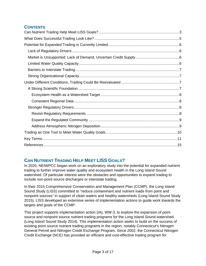# **CONTENTS**

# <span id="page-3-0"></span>**CAN NUTRIENT TRADING HELP MEET LISS GOALS?**

In 2020, NEIWPCC began work on an exploratory study into the potential for expanded nutrient trading to further improve water quality and ecosystem health in the Long Island Sound watershed. Of particular interest were the obstacles and opportunities to expand trading to include non-point source discharges or interstate trading.

In their 2015 Comprehensive Conservation and Management Plan (CCMP), the Long Island Sound Study (LISS) committed to "reduce contaminant and nutrient loads from point and nonpoint sources" in support of clean waters and healthy watersheds (Long Island Sound Study 2015). LISS developed an extensive series of implementation actions to guide work towards the targets and goals of the CCMP.

This project supports implementation action (IA), WW-3, to explore the expansion of point source and nonpoint source nutrient trading programs for the Long Island Sound watershed. (Long Island Sound Study 2014). This implementation action seeks to build on the success of existing point source nutrient trading programs in the region, notably Connecticut's Nitrogen General Permit and Nitrogen Credit Exchange Program. Since 2002, the Connecticut Nitrogen Credit Exchange (NCE) has provided an efficient and cost-effective trading program for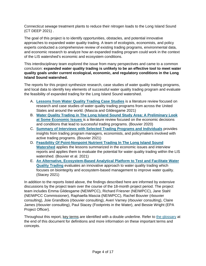Connecticut sewage treatment plants to reduce their nitrogen loads to the Long Island Sound (CT DEEP 2021) .

The goal of this project is to identify opportunities, obstacles, and potential innovative approaches to expanded water quality trading. A team of ecologists, economists, and policy experts conducted a comprehensive review of existing trading programs, environmental data, and economic research to analyze how an expanded trading program could work in the context of the LIS watershed's economic and ecosystem conditions.

This interdisciplinary team explored the issue from many perspectives and came to a common conclusion: **expanded water quality trading is unlikely to be an effective tool to meet water quality goals under current ecological, economic, and regulatory conditions in the Long Island Sound watershed.** 

The reports for this project synthesize research, case studies of water quality trading programs, and local data to identify key elements of successful water quality trading program and evaluate the feasibility of expanded trading for the Long Island Sound watershed.

- A. **[Lessons from Water Quality Trading Case Studies](https://neiwpcc.org/wp-content/uploads/2021/11/Water-Quality-Trading-Case-Study-Review.pdf)** is a literature review focused on research and case studies of water quality trading programs from across the United States and around the world. (Mascia and Gildesgame 2021)
- B. **[Water Quality Trading in The Long Island Sound Study Area: A Preliminary Look](https://neiwpcc.org/wp-content/uploads/2021/11/Economic-Issues-Lit-Review_rbouvier.pdf)  [at Some Economic Issues](https://neiwpcc.org/wp-content/uploads/2021/11/Economic-Issues-Lit-Review_rbouvier.pdf)** is a literature review focused on the economic decisions and conditions that lead to successful trading programs. (Bouvier 2020)
- C. **[Summary of Interviews with Selected Trading Programs and Individuals](https://neiwpcc.org/wp-content/uploads/2021/11/rbouvier_interview-summary-report.pdf)** provides insights from trading program managers, economists, and policymakers involved with active trading programs. (Bouvier 2021)
- D. **[Feasibility Of Point-Nonpoint Nutrient Trading In The Long Island Sound](https://neiwpcc.org/wp-content/uploads/2021/11/Feasibility-of-P-NPS-Trading-in-the-LIS-Watershed_rbouvier.pdf)  [Watershed](https://neiwpcc.org/wp-content/uploads/2021/11/Feasibility-of-P-NPS-Trading-in-the-LIS-Watershed_rbouvier.pdf)** applies the lessons summarized in the economic issues and interview reports and applies them to evaluate the potential for water quality trading within the LIS watershed. (Bouvier et al. 2021)
- E. **[An Alternative, Ecosystem-Based Analytical Platform to Test and Facilitate Water](https://neiwpcc.org/wp-content/uploads/2021/11/Footprints-in-the-Water_Ecosystem-Based-Trading.pdf)  [Quality Trading](https://neiwpcc.org/wp-content/uploads/2021/11/Footprints-in-the-Water_Ecosystem-Based-Trading.pdf)** evaluates an innovative approach to water quality trading which focuses on biointegrity and ecosystem-based management to improve water quality. (Stacey 2021)

In addition to the reports listed above, the findings described here are informed by extensive discussions by the project team over the course of the 18-month project period. The project team includes Emma Gildesgame (NEIWPCC), Richard Friesner (NEIWPCC), Jane Stahl (NEIWPCC Commissioner), Raphaella Mascia (NEIWPCC), Rachel Bouvier (rbouvier consulting), Joie Grandbois (rbouvier consulting), Averi Varney (rbouvier consulting), Claire James (rbouvier consulting), Paul Stacey (Footprints in the Water), and Bessie Wright (EPA Project Officer).

Throughout this report, key terms are identified with a double underline. Refer to [the glossary](#page-10-1) at the end of this document for definitions and more information on these important terms and concepts.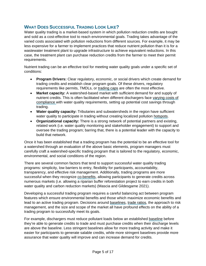# <span id="page-5-0"></span>**WHAT DOES SUCCESSFUL TRADING LOOK LIKE?**

Water quality trading is a market-based system in which pollution reduction credits are bought and sold as a cost-effective tool to reach environmental goals. Trading takes advantage of the varied costs associated with pollution reductions from different sources. For example, it may be less expensive for a farmer to implement practices that reduce nutrient pollution than it is for a wastewater treatment plant to upgrade infrastructure to achieve equivalent reductions. In this case, the treatment plant can purchase reduction credits from the farmer to meet their permit requirements.

Nutrient trading can be an effective tool for meeting water quality goals under a specific set of conditions:

- **Program Drivers:** Clear regulatory, economic, or social drivers which create demand for trading credits and establish clear program goals. Of these drivers, regulatory requirements like permits, TMDLs, or trading caps are often the most effective.
- **Market capacity:** A watershed-based market with sufficient demand for and supply of nutrient credits. This is often facilitated when different dischargers face varying costs of compliance with water quality requirements, setting up potential cost savings through trading.
- **Water quality capacity:** Tributaries and subwatersheds in the region have sufficient water quality to participate in trading without creating localized pollution hotspots.
- **Organizational capacity:** There is a strong network of potential partners and existing, related work (i.e. water quality monitoring and stakeholder engagement) to support and oversee the trading program; barring that, there is a potential leader with the capacity to build that network.

Once it has been established that a trading program has the potential to be an effective tool for a watershed through an evaluation of the above basic elements, program managers must carefully craft a watershed-specific trading program that is tailored to the regulatory, economic, environmental, and social conditions of the region.

There are several common factors that tend to support successful water quality trading programs: simplicity, low barriers to entry, flexibility for participants, accountability, transparency, and effective risk management. Additionally, trading programs are more successful when they recognize co-benefits, allowing participants to generate credits across numerous markets (i.e. allowing a riparian buffer reforestation project to earn credits in both water quality and carbon reduction markets) (Mascia and Gildesgame 2021).

Developing a successful trading program requires a careful balancing act between program features which ensure environmental benefits and those which maximize economic benefits and lead to an active trading program. Decisions around baselines, trade ratios, the approach to risk management, and the size and scope of the market all have profound effects on the ability of a trading program to successfully meet its goals.

For example, dischargers must reduce pollutant loads below an established baseline before they're able to generate credits to trade and must purchase credits when their discharge levels are above the baseline. Less stringent baselines allow for more trading activity and make it easier for participants to generate salable credits, while more stringent baselines provide more assurance that water quality will improve and can increase demand for credits.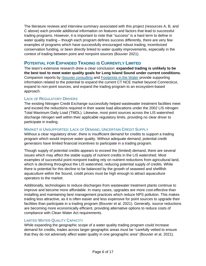The literature reviews and interview summary associated with this project (resources A, B, and C above) each provide additional information on features and factors that lead to successful trading programs. However, it is important to note that "success" is a hard term to define in water quality trading – though each program defines success differently, there are very few examples of programs which have successfully encouraged robust trading, incentivized conservation funding, or been directly linked to water quality improvements, especially in the context of trading between point and nonpoint sources (Bouvier 2021).

# <span id="page-6-0"></span>**POTENTIAL FOR EXPANDED TRADING IS CURRENTLY LIMITED**

The team's extensive research drew a clear conclusion: **expanded trading is unlikely to be the best tool to meet water quality goals for Long Island Sound under current conditions.**  Companion reports by [rbouvier consulting](https://neiwpcc.org/feasibility-of-p-nps-trading-in-the-lis-watershed_rbouvier/) and [Footprints in the Water](https://neiwpcc.org/wp-content/uploads/2021/11/Footprints-in-the-Water_Ecosystem-Based-Trading.pdf) provide supporting information related to the potential to expand the current CT NCE market beyond Connecticut, expand to non-point sources, and expand the trading program to an ecosystem-based approach.

## <span id="page-6-1"></span>LACK OF REGULATORY DRIVERS

The existing Nitrogen Credit Exchange successfully helped wastewater treatment facilities meet and exceed the reductions required in their waste load allocations under the 2002 LIS nitrogen Total Maximum Daily Load (TMDL). Likewise, most point sources across the LIS watershed discharge nitrogen well within their applicable regulatory limits, providing no clear driver to participate in trading.

## <span id="page-6-2"></span>MARKET IS UNSUPPORTED: LACK OF DEMAND, UNCERTAIN CREDIT SUPPLY

Without a clear regulatory driver, there is insufficient demand for credits to support a trading program which would improve water quality. Without adequate demand, potential credit generators have limited financial incentives to participate in a trading program.

Though supply of potential credits appears to exceed the (limited) demand, there are several issues which may affect the stable supply of nutrient credits in the LIS watershed. Most examples of successful point-nonpoint trading rely on nutrient reductions from agricultural land, which is declining throughout the LIS watershed, reducing potential supply of credits. While there is potential for this decline to be balanced by the growth of seaweed and shellfish aquaculture within the Sound, credit prices must be high enough to attract aquaculture operators to the market.

Additionally, technologies to reduce discharges from wastewater treatment plants continue to improve and become more affordable. In many cases, upgrades are more cost-effective than installing and maintaining best management practices which reduce NPS pollution. This makes trading less attractive, as it is often easier and less expensive for point sources to upgrade their facilities than participate in a trading program (Bouvier et al. 2021). Generally, source reductions are becoming more economically efficient, providing alternative options to reduce costs of compliance with Clean Water Act requirements.

## <span id="page-6-3"></span>LIMITED WATER QUALITY CAPACITY

While expanding the geographic scope of a water quality trading program could increase demand for credits, trades across larger geographic areas must be "carefully vetted to ensure that they do not adversely affect water quality in one geographic area" (Bouvier et al. 2021).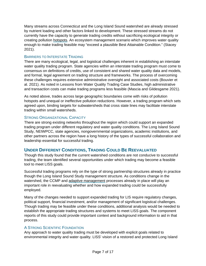Many streams across Connecticut and the Long Island Sound watershed are already stressed by nutrient loading and other factors linked to development. These stressed streams do not currently have the capacity to generate trading credits without sacrificing ecological integrity or creating pollution hotspots. An ecosystem management scenario which improves water quality enough to make trading feasible may "exceed a plausible Best Attainable Condition." (Stacey 2021).

## <span id="page-7-0"></span>BARRIERS TO INTERSTATE TRADING

There are many ecological, legal, and logistical challenges inherent in establishing an interstate water quality trading program. State agencies within an interstate trading program must come to consensus on definitions of credits, use of consistent and shared water quality data and models, and formal, legal agreement on trading structure and frameworks. The process of overcoming these challenges requires extensive administrative oversight and associated costs (Bouvier et al. 2021). As noted in Lessons from Water Quality Trading Case Studies, high administrative and transaction costs can make trading programs less feasible (Mascia and Gildesgame 2021).

As noted above, trades across large geographic boundaries come with risks of pollution hotspots and unequal or ineffective pollution reductions. However, a trading program which sets agreed upon, binding targets for subwatersheds that cross state lines may facilitate interstate trading within small watersheds.

## <span id="page-7-1"></span>STRONG ORGANIZATIONAL CAPACITY

There are strong existing networks throughout the region which could support an expanded trading program under different regulatory and water quality conditions. The Long Island Sound Study, NEIWPCC, state agencies, nongovernmental organizations, academic institutions, and other partners across the region have a long history of the types of successful collaboration and leadership essential for successful trading.

# <span id="page-7-2"></span>**UNDER DIFFERENT CONDITIONS, TRADING COULD BE REEVALUATED**

Though this study found that the current watershed conditions are not conducive to successful trading, the team identified several opportunities under which trading may become a feasible tool to meet LISS goals.

Successful trading programs rely on the type of strong partnership structures already in practice though the Long Island Sound Study management structure. As conditions change in the watershed, the CCMP and adaptive management processes already in place will play an important role in reevaluating whether and how expanded trading could be successfully employed.

Many of the changes needed to support expanded trading for LIS require regulatory changes, political support, financial investment, and/or management of significant logistical challenges. Though trading may be feasible under these conditions, additional analysis would be needed to establish the appropriate trading structures and systems to meet LISS goals. The component reports of this study could provide important context and background information to aid in that process.

## <span id="page-7-3"></span>A STRONG SCIENTIFIC FOUNDATION

Any approach to water quality trading must be developed with explicit goals related to environmental integrity and water quality. LISS' vision of a restored and protected Long Island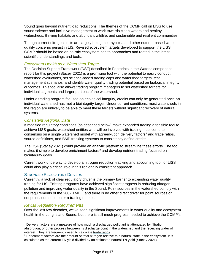Sound goes beyond nutrient load reductions. The themes of the CCMP call on LISS to use sound science and inclusive management to work towards clean waters and healthy watersheds, thriving habitats and abundant wildlife, and sustainable and resilient communities.

Though current nitrogen limits are largely being met, hypoxia and other nutrient-based water quality concerns persist in LIS. Revised ecosystem targets developed to support the LISS CCMP should be based on holistic ecosystem health approaches and rooted in the latest scientific understandings and tools.

## <span id="page-8-0"></span>*Ecosystem Health as a Watershed Target*

The Decision Support Framework (DSF) described in Footprints in the Water's component report for this project (Stacey 2021) is a promising tool with the potential to easily conduct watershed evaluations, set science-based trading caps and watershed targets, test management scenarios, and identify water quality trading potential based on biological integrity outcomes. This tool also allows trading program managers to set watershed targets for individual segments and larger portions of the watershed.

Under a trading program focused on ecological integrity, credits can only be generated once an individual watershed has met a biointegrity target. Under current conditions, most watersheds in the region are unlikely to be able to meet these targets without significant recovery of natural systems.

## <span id="page-8-1"></span>*Consistent Regional Data*

If modified regulatory conditions (as described below) make expanded trading a feasible tool to achieve LISS goals, watershed entities who will be involved with trading must come to consensus on a single watershed model with agreed-upon delivery factors<sup>[1](#page-8-4)</sup> and trade ratios, source definitions, and BMP tracking systems to consistently define credits.

The DSF (Stacey 2021) could provide an analytic platform to streamline these efforts. The tool makes it simple to develop enrichment factors<sup>[2](#page-8-5)</sup> and develop nutrient trading focused on biointegrity goals.

Current work underway to develop a nitrogen reduction tracking and accounting tool for LISS could also play a critical role in this regionally consistent approach.

## <span id="page-8-2"></span>STRONGER REGULATORY DRIVERS

Currently, a lack of clear regulatory driver is the primary barrier to expanding water quality trading for LIS. Existing programs have achieved significant progress in reducing nitrogen pollution and improving water quality in the Sound. Point sources in the watershed comply with the requirements of the 2002 TMDL, and there is no other direct driver for point sources or nonpoint sources to enter a trading market.

## <span id="page-8-3"></span>*Revisit Regulatory Requirements*

Over the last few decades, we've seen significant improvements in water quality and ecosystem health in the Long Island Sound, but there is still much progress needed to achieve the CCMP's

<span id="page-8-4"></span><sup>1</sup> Delivery factors are a measure of how much a discharged pollutant is attenuated by filtration, absorption, or other process between its discharge point in the watershed and the receiving water of

<span id="page-8-5"></span>interest. They are frequently used to calculate trade ratios.<br><sup>2</sup> Enrichment factors are the amount of total nitrogen relative to a natural state in the ecosystem. It is calculated as the current TN yield divided by an estimated natural TN yield (Stacey 2021).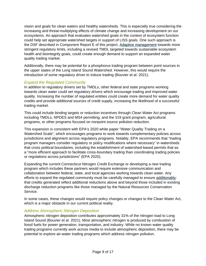vision and goals for clean waters and healthy watersheds. This is especially true considering the increasing and threat-multiplying effects of climate change and increasing development on our ecosystems. An approach that evaluates watershed goals in the context of ecosystem function could help set appropriate watershed targets in support of LISS goals. One such approach is the DSF described in Component Report E of this project. Adaptive management towards more stringent regulatory limits, including a revised TMDL targeted towards sustainable ecosystem health and biointegrity goals, could create enough demand to support an expanded water quality trading market.

Additionally, there may be potential for a phosphorus trading program between point sources in the upper states of the Long Island Sound Watershed. However, this would require the introduction of some regulatory driver to induce trading (Bouvier et al. 2021).

## <span id="page-9-0"></span>*Expand the Regulated Community*

In addition to regulatory drivers set by TMDLs, other federal and state programs working towards clean water could set regulatory drivers which encourage trading and improved water quality. Increasing the number of regulated entities could create more demand for water quality credits and provide additional sources of credit supply, increasing the likelihood of a successful trading market.

This could include binding targets or reduction incentives through Clean Water Act programs including TMDLs, NPDES and MS4 permitting, and the 319 grant program, agricultural programs, or other programs focused on nonpoint source pollution reduction.

This expansion is consistent with EPA's 2020 white paper "Water Quality Trading on a Watershed Scale", which encourages programs to work towards complementary policies across jurisdictions and alignment across regulatory programs. Notably, EPA recommends that "trading program managers consider regulatory or policy modifications where necessary" in watersheds that cross political boundaries, including the establishment of watershed-based permits that as a "more efficient approach to facilitate cross-boundary trading than coordinating trading policies or regulations across jurisdictions" (EPA 2020).

Expanding the current Connecticut Nitrogen Credit Exchange or developing a new trading program which includes these partners would require extensive communication and collaboration between federal, state, and local agencies working towards clean water. Any efforts to expand the regulated community must be carefully managed to ensure additionality: that credits generated reflect additional reductions above and beyond those included in existing discharge reduction programs like those managed by the Natural Resources Conservation Service.

In some cases, these changes would require policy changes or changes to the Clean Water Act, which is a major obstacle in our current political reality.

## <span id="page-9-1"></span>*Address Atmospheric Nitrogen Deposition*

Atmospheric nitrogen deposition contributes approximately 31% of the nitrogen load to Long Island Sound (Bouvier et al. 2021). Most atmospheric nitrogen is produced by combustion of fossil fuels for power generation, transportation, and industry. While no known water quality trading programs currently work across media to include atmospheric deposition, there may be potential to explore air-water trading programs which address nitrogen pollution.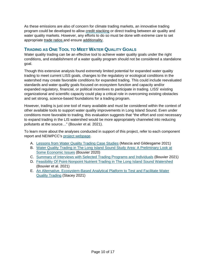As these emissions are also of concern for climate trading markets, an innovative trading program could be developed to allow credit stacking or direct trading between air quality and water quality markets. However, any efforts to do so must be done with extreme care to set appropriate trade ratios and ensure additionality.

# <span id="page-10-0"></span>**TRADING AS ONE TOOL TO MEET WATER QUALITY GOALS**

Water quality trading can be an effective tool to achieve water quality goals under the right conditions, and establishment of a water quality program should not be considered a standalone goal.

Though this extensive analysis found extremely limited potential for expanded water quality trading to meet current LISS goals, changes to the regulatory or ecological conditions in the watershed may create favorable conditions for expanded trading. This could include reevaluated standards and water quality goals focused on ecosystem function and capacity and/or expanded regulatory, financial, or political incentives to participate in trading. LISS' existing organizational and scientific capacity could play a critical role in overcoming existing obstacles and set strong, science-based foundations for a trading program.

However, trading is just one tool of many available and must be considered within the context of other available tools to support water quality improvements in Long Island Sound. Even under conditions more favorable to trading, this evaluation suggests that "the effort and cost necessary to expand trading in the LIS watershed would be more appropriately channeled into reducing pollutants at the source…" (Bouvier et al. 2021).

To learn more about the analyses conducted in support of this project, refer to each component report and NEIWPCC's [project webpage.](https://neiwpcc.org/our-programs/pollution-control/lis-tmdl/lis_nutrient_trading_study/)

- A. [Lessons from Water Quality Trading Case Studies](https://neiwpcc.org/wp-content/uploads/2021/11/Water-Quality-Trading-Case-Study-Review.pdf) (Mascia and Gildesgame 2021)
- B. [Water Quality Trading in The Long Island Sound Study Area: A Preliminary Look at](https://neiwpcc.org/economic-issues-lit-review_rbouvier/)  [Some Economic Issues](https://neiwpcc.org/economic-issues-lit-review_rbouvier/) (Bouvier 2020)
- C. [Summary of Interviews with Selected Trading Programs and Individuals](https://neiwpcc.org/rbouvier_interview-summary-report/) (Bouvier 2021)
- D. [Feasibility Of Point-Nonpoint Nutrient Trading in The Long Island Sound Watershed](https://neiwpcc.org/feasibility-of-p-nps-trading-in-the-lis-watershed_rbouvier/) (Bouvier et al. 2021)
- <span id="page-10-1"></span>E. [An Alternative, Ecosystem-Based Analytical Platform to Test and Facilitate Water](https://neiwpcc.org/footprints-in-the-water_ecosystem-based-trading/)  [Quality Trading](https://neiwpcc.org/footprints-in-the-water_ecosystem-based-trading/) (Stacey 2021)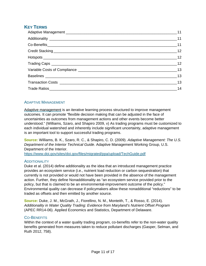# <span id="page-11-0"></span>**KEY TERMS**

| $\sim$ 13 |
|-----------|
|           |
| 14        |

## <span id="page-11-1"></span>ADAPTIVE MANAGEMENT

<span id="page-11-2"></span>Adaptive management is an iterative learning process structured to improve management outcomes. It can promote "flexible decision making that can be adjusted in the face of uncertainties as outcomes from management actions and other events become better understood." (Williams, Szaro, and Shapiro 2009, v) As trading programs must be customized to each individual watershed and inherently include significant uncertainty, adaptive management is an important tool to support successful trading programs.

**Source:** Williams, B. K., Szaro, R. C., & Shapiro, C. D. (2009). *Adaptive Management: The U.S. Department of the Interior Technical Guide*. Adaptive Management Working Group, U.S. Department of the Interior.

<https://www.doi.gov/sites/doi.gov/files/migrated/ppa/upload/TechGuide.pdf>

## **ADDITIONALITY**

Duke et al. (2014) define additionality as the idea that an introduced management practice provides an ecosystem service (i.e., nutrient load reduction or carbon sequestration) that currently is not provided or would not have been provided in the absence of the management action. Further, they define Nonadditionality as "an ecosystem service provided prior to the policy, but that is claimed to be an environmental-improvement outcome of the policy." Environmental quality can decrease if policymakers allow these nonadditional "reductions" to be traded as offsets and then emitted by another source.

**Source:** Duke, J. M., McGrath, J., Fiorellino, N. M., Monteith, T., & Rosso, E. (2014). *Additionality in Water Quality Trading: Evidence from Maryland's Nutrient Offset Program*  (APEC RR14-06). Applied Economics and Statistics, Department of Delaware.

## <span id="page-11-3"></span>CO-BENEFITS

Within the context of a water quality trading program, co-benefits refer to the non-water quality benefits generated from measures taken to reduce pollutant discharges (Gasper, Selman, and Ruth 2012, 758).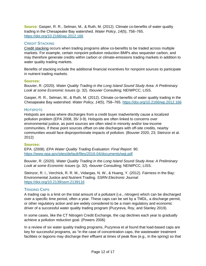**Source***:* Gasper, R. R., Selman, M., & Ruth, M. (2012). Climate co-benefits of water quality trading in the Chesapeake Bay watershed. *Water Policy*, *14*(5), 758–765. <https://doi.org/10.2166/wp.2012.166>

## <span id="page-12-0"></span>CREDIT STACKING

Credit stacking occurs when trading programs allow co-benefits to be traded across multiple markets. For example, certain nonpoint pollution reduction BMPs also sequester carbon, and may therefore generate credits within carbon or climate-emissions trading markets in addition to water quality trading markets.

Benefits of stacking include the additional financial incentives for nonpoint sources to participate in nutrient trading markets.

#### **Sources:**

Bouvier, R. (2020). *Water Quality Trading in the Long Island Sound Study Area: A Preliminary Look at some Economic Issues* (p. 32). rbouvier Consulting; NEIWPCC; LISS.

Gasper, R. R., Selman, M., & Ruth, M. (2012). Climate co-benefits of water quality trading in the Chesapeake Bay watershed. *Water Policy*, *14*(5), 758–765.<https://doi.org/10.2166/wp.2012.166>

### <span id="page-12-1"></span>**HOTSPOTS**

Hotspots are areas where discharges from a credit buyer inadvertently cause a localized pollution problem (EPA 2008, 35/ 3-9). Hotspots are often linked to concerns over environmental justice, as point sources are often sited in minority and/or low-income communities. If these point sources offset on-site discharges with off-site credits, nearby communities would face disproportionate impacts of pollution. (Bouvier 2020, 23; Steinzor et al. 2012)

#### **Sources:**

EPA. (2008). *EPA Water Quality Trading Evaluation: Final Report*. 90. <https://www.epa.gov/sites/default/files/2016-04/documents/wqt.pdf>

Bouvier, R. (2020). *Water Quality Trading in the Long Island Sound Study Area: A Preliminary Look at some Economic Issues* (p. 32). rbouvier Consulting; NEIWPCC; LISS.

Steinzor, R. I., Verchick, R. R. M., Vidargas, N. W., & Huang, Y. (2012). Fairness in the Bay: Environmental Justice and Nutrient Trading. *SSRN Electronic Journal*. <https://doi.org/10.2139/ssrn.2139116>

## <span id="page-12-2"></span>TRADING CAPS

A trading cap is a limit on the total amount of a pollutant (i.e., nitrogen) which can be discharged over a specific time period, often a year. These caps can be set by a TMDL, a discharge permit, or other regulatory action and are widely considered to be a main regulatory and economic driver of a successful water quality trading program (Puzyreva, Roy, and Stanley 2019).

In some cases, like the CT Nitrogen Credit Exchange, the cap declines each year to gradually achieve a pollution reduction goal. (Powers 2006)

In a review of six water quality trading programs, Puzyreva et al found that load-based caps are key for successful programs, as "in the case of concentration caps, the wastewater treatment facilities or lagoons may discharge their effluent at times of peak flow (e.g., in the spring) so that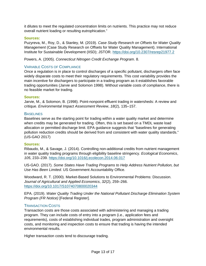it dilutes to meet the regulated concentration limits on nutrients. This practice may not reduce overall nutrient loading or resulting eutrophication."

## **Sources:**

Puzyreva, M., Roy, D., & Stanley, M. (2019). *Case Study Research on Offsets for Water Quality Management* (Case Study Research on Offsets for Water Quality Management). International Institute for Sustainable Development (IISD); JSTOR.<https://doi.org/10.2307/resrep21977.2>

Powers, A. (2005). *Connecticut Nitrogen Credit Exchange Program*. 8.

## <span id="page-13-0"></span>VARIABLE COSTS OF COMPLIANCE

Once a regulation is in place to control discharges of a specific pollutant, dischargers often face widely disparate costs to meet their regulatory requirements. This cost variability provides the main incentive for dischargers to participate in a trading program as it establishes favorable trading opportunities (Jarvie and Solomon 1998). Without variable costs of compliance, there is no feasible market for trading.

## **Sources:**

Jarvie, M., & Solomon, B. (1998). Point-nonpoint effluent trading in watersheds: A review and critique. *Environmental Impact Assessment Review*, *18*(2), 135–157.

## <span id="page-13-1"></span>**BASELINES**

Baselines serve as the starting point for trading within a water quality market and determine when credits may be generated for trading. Often, this is set based on a TMDL waste load allocation or permitted discharge limit. EPA guidance suggests that "baselines for generating pollution reduction credits should be derived from and consistent with water quality standards." (US-GAO 2017)

## **Sources:**

Ribaudo, M., & Savage, J. (2014). Controlling non-additional credits from nutrient management in water quality trading programs through eligibility baseline stringency. *Ecological Economics*, *105*, 233–239.<https://doi.org/10.1016/j.ecolecon.2014.06.017>

US-GAO. (2017). *Some States Have Trading Programs to Help Address Nutrient Pollution, but Use Has Been Limited*. US Government Accountability Office.

Woodward, R. T. (2000). Market-Based Solutions to Environmental Problems: Discussion. *Journal of Agricultural and Applied Economics*, *32*(2), 259–266. <https://doi.org/10.1017/S1074070800020344>

EPA. (2019). *Water Quality Trading Under the National Pollutant Discharge Elimination System Program (FR Notice)* [Federal Register].

## <span id="page-13-2"></span>TRANSACTION COSTS

Transaction costs are those costs associated with administering and managing a trading program. They can include costs of entry into a program (i.e., application fees and requirements), costs of establishing individual trades, program administration and oversight costs, and monitoring and inspection costs to ensure that trading is having the intended environmental results.

Higher transaction costs tend to discourage trading.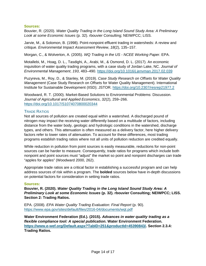## **Sources:**

Bouvier, R. (2020). *Water Quality Trading in the Long Island Sound Study Area: A Preliminary Look at some Economic Issues* (p. 32). rbouvier Consulting; NEIWPCC; LISS.

Jarvie, M., & Solomon, B. (1998). Point-nonpoint effluent trading in watersheds: A review and critique. *Environmental Impact Assessment Review*, *18*(2), 135–157.

Morgan, C., & Wolverton, A. (2005). *WQ Trading in the US - NCEE Working Paper*. EPA.

Motallebi, M., Hoag, D. L., Tasdighi, A., Arabi, M., & Osmond, D. L. (2017). An economic inquisition of water quality trading programs, with a case study of Jordan Lake, NC. *Journal of Environmental Management*, *193*, 483–490.<https://doi.org/10.1016/j.jenvman.2017.02.039>

Puzyreva, M., Roy, D., & Stanley, M. (2019). *Case Study Research on Offsets for Water Quality Management* (Case Study Research on Offsets for Water Quality Management). International Institute for Sustainable Development (IISD); JSTOR.<https://doi.org/10.2307/resrep21977.2>

Woodward, R. T. (2000). Market-Based Solutions to Environmental Problems: Discussion. *Journal of Agricultural and Applied Economics*, *32*(2), 259–266. <https://doi.org/10.1017/S1074070800020344>

## <span id="page-14-0"></span>TRADE RATIOS

Not all sources of pollution are created equal within a watershed. A discharged pound of nitrogen may impact the receiving water differently based on a multitude of factors, including distance from the water body, geologic and hydrologic conditions in the watershed, discharge types, and others. This attenuation is often measured as a delivery factor, here higher delivery factors refer to lower rates of attenuation. To account for these differences, most trading programs establish trading ratios where not all units of pollution reduction are credited equally.

While reduction in pollution from point sources is easily measurable, reductions for non-point sources can be harder to measure. Consequently, trade ratios for programs which include both nonpoint and point sources must "adjust" the market so point and nonpoint discharges can trade "apples for apples" (Woodward 2000, 262).

Appropriate trade ratios are a critical factor in establishing a successful program and can help address sources of risk within a program. The **bolded** sources below have in-depth discussions on potential factors for consideration in setting trade ratios.

#### **Sources:**

**Bouvier, R. (2020).** *Water Quality Trading in the Long Island Sound Study Area: A Preliminary Look at some Economic Issues* **(p. 32). rbouvier Consulting; NEIWPCC; LISS. Section 2: Trading Ratios.** 

EPA. (2008). *EPA Water Quality Trading Evaluation: Final Report* (p. 90). <https://www.epa.gov/sites/default/files/2016-04/documents/wqt.pdf>

**Water Environment Federation (Ed.). (2015).** *Advances in water quality trading as a flexible compliance tool: A special publication***. Water Environment Federation. [https://www.e-wef.org/Default.aspx?TabID=251&productId=45390843/.](https://www.e-wef.org/Default.aspx?TabID=251&productId=45390843/) Section 2.3.4: Trading Ratios.**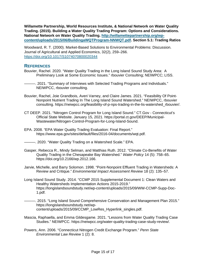**Willamette Partnership, World Resources Institute, & National Network on Water Quality Trading. (2015). Building a Water Quality Trading Program: Options and Considerations. National Network on Water Quality Trading. [http://willamettepartnership.org/wp](http://willamettepartnership.org/wp-content/uploads/2015/06/BuildingaWQTProgram-NNWQT.pdf)[content/uploads/2015/06/BuildingaWQTProgram-NNWQT.pdf.](http://willamettepartnership.org/wp-content/uploads/2015/06/BuildingaWQTProgram-NNWQT.pdf) Section 5.1: Trading Ratios** 

Woodward, R. T. (2000). Market-Based Solutions to Environmental Problems: Discussion. Journal of Agricultural and Applied Economics, 32(2), 259–266. <https://doi.org/10.1017/S1074070800020344>

## <span id="page-15-0"></span>**REFERENCES**

- Bouvier, Rachel. 2020. "Water Quality Trading in the Long Island Sound Study Area: A Preliminary Look at Some Economic Issues." rbouvier Consulting; NEIWPCC; LISS.
- -. 2021. "Summary of Interviews with Selected Trading Programs and Individuals." NEIWPCC, rbouvier consulting.
- Bouvier, Rachel, Joie Grandbois, Averi Varney, and Claire James. 2021. "Feasibility Of Point-Nonpoint Nutrient Trading In The Long Island Sound Watershed." NEIWPCC, rbouvier consulting. https://neiwpcc.org/feasibility-of-p-nps-trading-in-the-lis-watershed\_rbouvier/.
- CT DEEP. 2021. "Nitrogen Control Program for Long Island Sound." CT.Gov Connecticut's Official State Website. January 15, 2021. https://portal.ct.gov/DEEP/Municipal-Wastewater/Nitrogen-Control-Program-for-Long-Island-Sound.
- EPA. 2008. "EPA Water Quality Trading Evaluation: Final Report." https://www.epa.gov/sites/default/files/2016-04/documents/wqt.pdf.
- 2020. "Water Quality Trading on a Watershed Scale." EPA.
- Gasper, Rebecca R., Mindy Selman, and Matthias Ruth. 2012. "Climate Co-Benefits of Water Quality Trading in the Chesapeake Bay Watershed." *Water Policy* 14 (5): 758–65. https://doi.org/10.2166/wp.2012.166.
- Jarvie, Michelle, and Barry Solomon. 1998. "Point-Nonpoint Effluent Trading in Watersheds: A Review and Critique." *Environmental Impact Assessment Review* 18 (2): 135–57.
- Long Island Sound Study. 2014. "CCMP 2015 Supplemental Document 1: Clean Waters and Healthy Watersheds Implementation Actions 2015-2019." https://longislandsoundstudy.net/wp-content/uploads/2015/09/WW-CCMP-Supp-Doc-1.pdf.
- ———. 2015. "Long Island Sound Comprehensive Conservation and Management Plan 2015." https://longislandsoundstudy.net/wpcontent/uploads/2015/09/CCMP\_LowRes\_Hyperlink\_singles.pdf.
- Mascia, Raphaella, and Emma Gildesgame. 2021. "Lessons from Water Quality Trading Case Studies." NEIWPCC. https://neiwpcc.org/water-quality-trading-case-study-review/.
- Powers, Ann. 2006. "Connecticut Nitrogen Credit Exchange Program." *Penn State Environmental Law Review* 1 (2): 8.